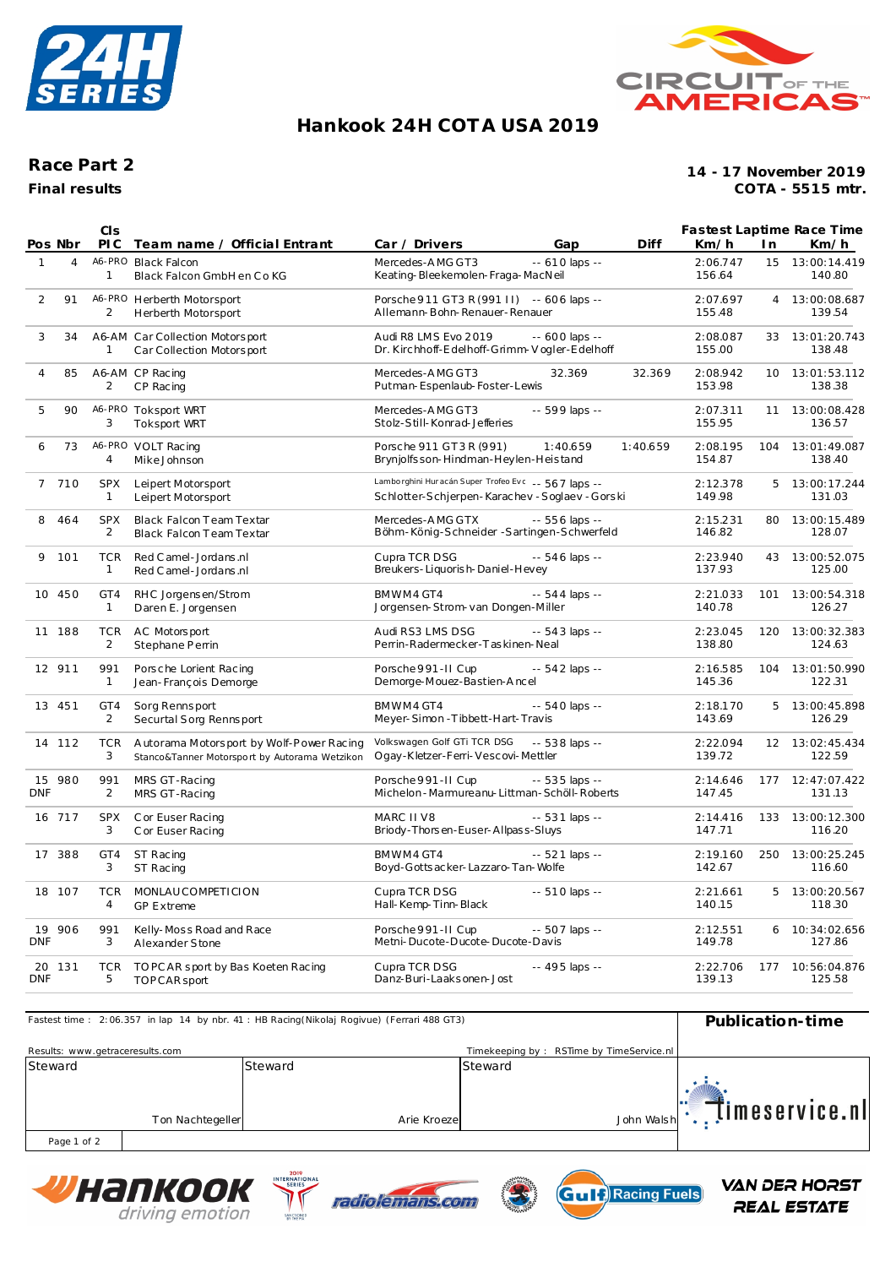



## **Hankook 24H COT A USA 2019**

## **Race Part 2**

**Final results**

**COTA - 5515 mtr. 14 - 17 November 2019**

|              |                | CIS                          |                                                                                            |                                                                                                    |                  |          |                    |                | <b>Fastest Laptime Race Time</b> |
|--------------|----------------|------------------------------|--------------------------------------------------------------------------------------------|----------------------------------------------------------------------------------------------------|------------------|----------|--------------------|----------------|----------------------------------|
|              | Pos Nbr        | PI C                         | Team name / Official Entrant                                                               | Car / Drivers                                                                                      | Gap              | Diff     | Km/h               | I n            | Km/h                             |
| $\mathbf{1}$ | $\overline{4}$ | $\mathbf{1}$                 | A6-PRO Black Falcon<br>Black Falcon GmbH en Co KG                                          | Mercedes-AMG GT3<br>Keating-Bleekemolen-Fraga-MacNeil                                              | $- 610$ laps $-$ |          | 2:06.747<br>156.64 |                | 15 13:00:14.419<br>140.80        |
| 2            | 91             | 2                            | A6-PRO Herberth Motorsport<br>Herberth Motorsport                                          | Porsche 911 GT3 R (991 II) -- 606 laps --<br>Allemann-Bohn-Renauer-Renauer                         |                  |          | 2:07.697<br>155.48 | $\overline{4}$ | 13:00:08.687<br>139.54           |
| 3            | 34             | 1                            | A6-AM Car Collection Motorsport<br>Car Collection Motorsport                               | Audi R8 LMS Evo 2019<br>Dr. Kirchhoff-Edelhoff-Grimm-Vogler-Edelhoff                               | $-600$ laps $-$  |          | 2:08.087<br>155.00 |                | 33 13:01:20.743<br>138.48        |
| 4            | 85             | 2                            | A6-AM CP Racing<br>CP Racing                                                               | Mercedes-AMG GT3<br>Putman-Espenlaub-Foster-Lewis                                                  | 32.369           | 32.369   | 2:08.942<br>153.98 |                | 10 13:01:53.112<br>138.38        |
| 5            | 90             | 3                            | A6-PRO Toksport WRT<br><b>Toksport WRT</b>                                                 | Mercedes-AMG GT3<br>Stolz-Still-Konrad-Jefferies                                                   | -- 599 laps --   |          | 2:07.311<br>155.95 | 11             | 13:00:08.428<br>136.57           |
| 6            | 73             | $\overline{4}$               | A6-PRO VOLT Racing<br>Mike Johnson                                                         | Porsche 911 GT3R (991)<br>Brynjolfs son-Hindman-Heylen-Heistand                                    | 1:40.659         | 1:40.659 | 2:08.195<br>154.87 | 104            | 13:01:49.087<br>138.40           |
| $7^{\circ}$  | 710            | <b>SPX</b><br>$\mathbf{1}$   | Leipert Motorsport<br>Leipert Motorsport                                                   | Lamborghini Huracán Super Trofeo Eve -- 567 laps --<br>Schlotter-Schjerpen-Karachev-Soglaev-Gorski |                  |          | 2:12.378<br>149.98 | 5              | 13:00:17.244<br>131.03           |
| 8            | 464            | <b>SPX</b><br>2              | Black Falcon Team Textar<br><b>Black Falcon Team Textar</b>                                | Mercedes-AMG GTX<br>Böhm-König-Schneider-Sartingen-Schwerfeld                                      | -- 556 laps --   |          | 2:15.231<br>146.82 |                | 80 13:00:15.489<br>128.07        |
| 9            | 101            | <b>TCR</b><br>$\mathbf{1}$   | Red C amel - Jordans .nl<br>Red C amel - Jordans .nl                                       | Cupra TCR DSG<br>Breukers-Liquorish-Daniel-Hevey                                                   | -- 546 laps --   |          | 2:23.940<br>137.93 | 43             | 13:00:52.075<br>125.00           |
|              | 10 450         | GT4<br>$\mathbf{1}$          | RHC Jorgensen/Strom<br>Daren E. Jorgensen                                                  | BMWM4 GT4<br>Jorgensen-Strom-van Dongen-Miller                                                     | $-544$ laps $-$  |          | 2:21.033<br>140.78 | 101            | 13:00:54.318<br>126.27           |
|              | 11 188         | <b>TCR</b><br>$\overline{2}$ | AC Motorsport<br>Stephane Perrin                                                           | Audi RS3 LMS DSG<br>Perrin-Radermecker-Taskinen-Neal                                               | $-543$ laps $-$  |          | 2:23.045<br>138.80 |                | 120 13:00:32.383<br>124.63       |
|              | 12 911         | 991<br>$\mathbf{1}$          | Porsche Lorient Racing<br>Jean-François Demorge                                            | Porsche 991-II Cup<br>Demorge-Mouez-Bastien-Ancel                                                  | -- 542 laps --   |          | 2:16.585<br>145.36 | 104            | 13:01:50.990<br>122.31           |
|              | 13 451         | GT4<br>2                     | Sorg Rennsport<br>Securtal Sorg Rennsport                                                  | BMWM4 GT4<br>Meyer-Simon-Tibbett-Hart-Travis                                                       | -- 540 laps --   |          | 2:18.170<br>143.69 | 5              | 13:00:45.898<br>126.29           |
|              | 14 112         | <b>TCR</b><br>3              | A utorama Motorsport by Wolf-Power Racing<br>Stanco&Tanner Motorsport by Autorama Wetzikon | Volkswagen Golf GTi TCR DSG<br>Ogay-Kletzer-Ferri-Vescovi-Mettler                                  | -- 538 laps --   |          | 2:22.094<br>139.72 |                | 12 13:02:45.434<br>122.59        |
| <b>DNF</b>   | 15 980         | 991<br>2                     | MRS GT-Racing<br>MRS GT-Racing                                                             | Porsche 991-II Cup<br>Michelon - Marmureanu-Littman - Schöll-Roberts                               | $-535$ laps $-$  |          | 2:14.646<br>147.45 | 177            | 12:47:07.422<br>131.13           |
|              | 16 717         | <b>SPX</b><br>3              | C or Euser Racing<br>Cor Euser Racing                                                      | MARC II V8<br>Briody-Thorsen-Euser-Allpass-Sluys                                                   | $-531$ laps $-$  |          | 2:14.416<br>147.71 |                | 133 13:00:12.300<br>116.20       |
|              | 17 388         | GT4<br>3                     | ST Racing<br>ST Racing                                                                     | BMWM4 GT4<br>Boyd-Gotts acker-Lazzaro-Tan-Wolfe                                                    | $-521$ laps $-$  |          | 2:19.160<br>142.67 | 250            | 13:00:25.245<br>116.60           |
|              | 18 107         | <b>TCR</b><br>$\overline{4}$ | MONLAUCOMPETICION<br><b>GP Extreme</b>                                                     | Cupra TCR DSG<br>Hall-Kemp-Tinn-Black                                                              | -- 510 laps --   |          | 2:21.661<br>140.15 | 5              | 13:00:20.567<br>118.30           |
| <b>DNF</b>   | 19 906         | 991<br>3                     | Kelly-Moss Road and Race<br>Alexander Stone                                                | Porsche 991-II Cup<br>Metni-Ducote-Ducote-Ducote-Davis                                             | -- 507 laps --   |          | 2:12.551<br>149.78 |                | 6 10:34:02.656<br>127.86         |
| <b>DNF</b>   | 20 131         | <b>TCR</b><br>5              | TO PC AR sport by Bas Koeten Racing<br>TOP CAR sport                                       | Cupra TCR DSG<br>Danz-Buri-Laaksonen-Jost                                                          | -- 495 laps --   |          | 2:22.706<br>139.13 |                | 177 10:56:04.876<br>125.58       |

| Fastest time: 2:06.357 in lap 14 by nbr. 41: HB Racing(Nikolaj Rogivue) (Ferrari 488 GT3) | Publication-time |         |              |                                          |            |                |
|-------------------------------------------------------------------------------------------|------------------|---------|--------------|------------------------------------------|------------|----------------|
| Results: www.getraceresults.com                                                           |                  |         |              | Timekeeping by: RSTime by TimeService.nl |            |                |
| Steward                                                                                   |                  | Steward |              | Steward                                  |            |                |
|                                                                                           |                  |         |              |                                          |            |                |
|                                                                                           |                  |         |              |                                          |            | Ţimeservice.nl |
|                                                                                           | Ton Nachtegeller |         | Arie Kroezel |                                          | John Walsh |                |
| Page 1 of 2                                                                               |                  |         |              |                                          |            |                |

Page 1 of 2







**VAN DER HORST** 

**REAL ESTATE**